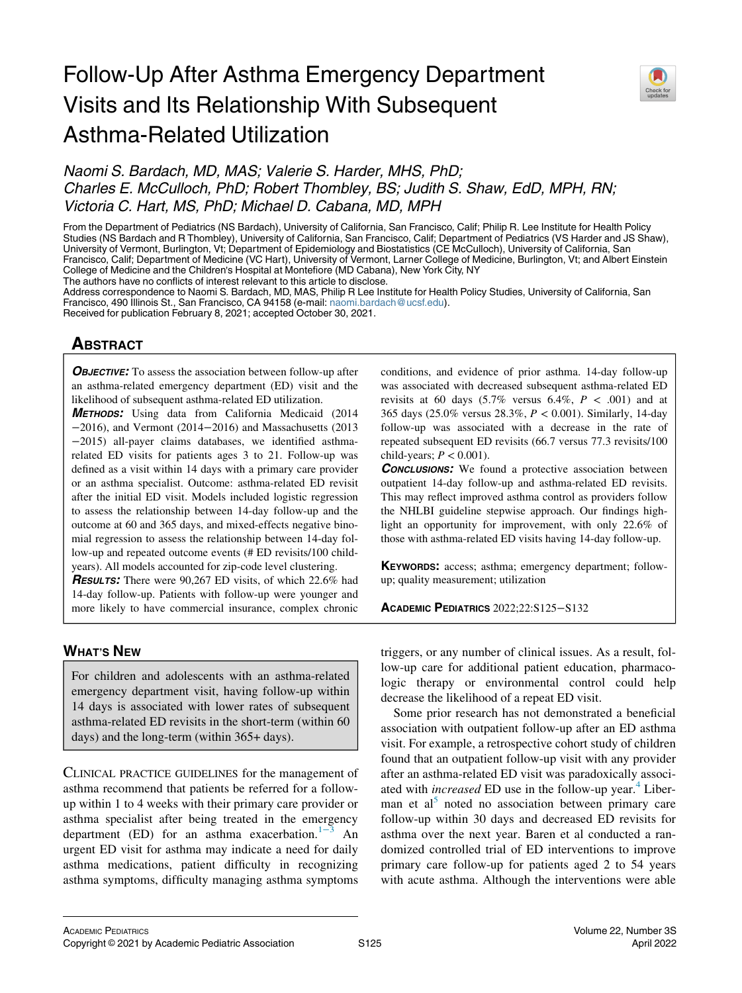# Follow-Up After Asthma Emergency Department Visits and Its Relationship With Subsequent Asthma-Related Utilization



Naomi S. Bardach, MD, MAS; Valerie S. Harder, MHS, PhD; Charles E. McCulloch, PhD; Robert Thombley, BS; Judith S. Shaw, EdD, MPH, RN; Victoria C. Hart, MS, PhD; Michael D. Cabana, MD, MPH

From the Department of Pediatrics (NS Bardach), University of California, San Francisco, Calif; Philip R. Lee Institute for Health Policy Studies (NS Bardach and R Thombley), University of California, San Francisco, Calif; Department of Pediatrics (VS Harder and JS Shaw), University of Vermont, Burlington, Vt; Department of Epidemiology and Biostatistics (CE McCulloch), University of California, San Francisco, Calif; Department of Medicine (VC Hart), University of Vermont, Larner College of Medicine, Burlington, Vt; and Albert Einstein College of Medicine and the Children's Hospital at Montefiore (MD Cabana), New York City, NY

The authors have no conflicts of interest relevant to this article to disclose.

Address correspondence to Naomi S. Bardach, MD, MAS, Philip R Lee Institute for Health Policy Studies, University of California, San Francisco, 490 Illinois St., San Francisco, CA 94158 (e-mail: [naomi.bardach@ucsf.edu](mailto:naomi.bardach@ucsf.edu)).

Received for publication February 8, 2021; accepted October 30, 2021.

## **ABSTRACT**  $\overline{\phantom{a}}$

**OBJECTIVE:** To assess the association between follow-up after an asthma-related emergency department (ED) visit and the likelihood of subsequent asthma-related ED utilization.

METHODS: Using data from California Medicaid (2014 −2016), and Vermont (2014−2016) and Massachusetts (2013 −2015) all-payer claims databases, we identified asthmarelated ED visits for patients ages 3 to 21. Follow-up was defined as a visit within 14 days with a primary care provider or an asthma specialist. Outcome: asthma-related ED revisit after the initial ED visit. Models included logistic regression to assess the relationship between 14-day follow-up and the outcome at 60 and 365 days, and mixed-effects negative binomial regression to assess the relationship between 14-day follow-up and repeated outcome events (# ED revisits/100 childyears). All models accounted for zip-code level clustering.

RESULTS: There were 90,267 ED visits, of which 22.6% had 14-day follow-up. Patients with follow-up were younger and more likely to have commercial insurance, complex chronic

## **WHAT'S NEW**

<u>What's new</u> For children and adolescents with an asthma-related emergency department visit, having follow-up within 14 days is associated with lower rates of subsequent asthma-related ED revisits in the short-term (within 60 days) and the long-term (within 365+ days).

CLINICAL PRACTICE GUIDELINES for the management of asthma recommend that patients be referred for a followup within 1 to 4 weeks with their primary care provider or asthma specialist after being treated in the emergency department (ED) for an asthma exacerbation.<sup>1[−](#page-6-0)3</sup> An urgent ED visit for asthma may indicate a need for daily asthma medications, patient difficulty in recognizing asthma symptoms, difficulty managing asthma symptoms

conditions, and evidence of prior asthma. 14-day follow-up was associated with decreased subsequent asthma-related ED revisits at 60 days  $(5.7\%$  versus 6.4%,  $P < .001$ ) and at 365 days (25.0% versus 28.3%, P < 0.001). Similarly, 14-day follow-up was associated with a decrease in the rate of repeated subsequent ED revisits (66.7 versus 77.3 revisits/100 child-years;  $P < 0.001$ ).

**CONCLUSIONS:** We found a protective association between outpatient 14-day follow-up and asthma-related ED revisits. This may reflect improved asthma control as providers follow the NHLBI guideline stepwise approach. Our findings highlight an opportunity for improvement, with only 22.6% of those with asthma-related ED visits having 14-day follow-up.

KEYWORDS: access; asthma; emergency department; followup; quality measurement; utilization

ACADEMIC PEDIATRICS 2022;22:S125−S132

triggers, or any number of clinical issues. As a result, follow-up care for additional patient education, pharmacologic therapy or environmental control could help decrease the likelihood of a repeat ED visit.

Some prior research has not demonstrated a beneficial association with outpatient follow-up after an ED asthma visit. For example, a retrospective cohort study of children found that an outpatient follow-up visit with any provider after an asthma-related ED visit was paradoxically associated with *increased* ED use in the follow-up year.<sup>4</sup> Liber-man et al<sup>[5](#page-6-2)</sup> noted no association between primary care follow-up within 30 days and decreased ED revisits for asthma over the next year. Baren et al conducted a randomized controlled trial of ED interventions to improve primary care follow-up for patients aged 2 to 54 years with acute asthma. Although the interventions were able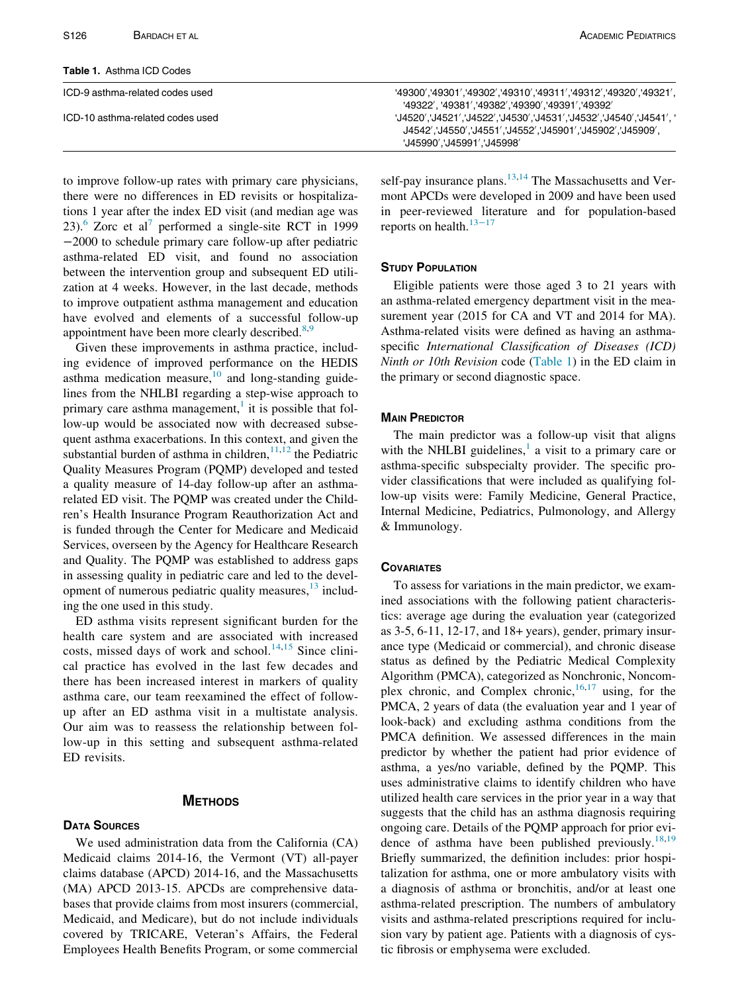<span id="page-1-0"></span>

| S <sub>126</sub><br>BARDACH ET AL | <b>ACADEMIC PEDIATRICS</b>                                                                                                                      |
|-----------------------------------|-------------------------------------------------------------------------------------------------------------------------------------------------|
| <b>Table 1. Asthma ICD Codes</b>  |                                                                                                                                                 |
| ICD-9 asthma-related codes used   | :49300','49300','49310','49311','49312','49320','49321', '49300','49321'<br>'49322', '49381', '49382', '49390', '49391', '49392'                |
| ICD-10 asthma-related codes used  | : '14520'.'14521'.'4522'.'14530'.'14531'.'14532'.'14540'.'14541'.<br>./45909/J4542/J4552J4552/J45901/J45902/J45909<br>'J45990'.'J45991'.'J45998 |

to improve follow-up rates with primary care physicians, there were no differences in ED revisits or hospitalizations 1 year after the index ED visit (and median age was 23). $6$  Zorc et al<sup>[7](#page-6-4)</sup> performed a single-site RCT in 1999 −2000 to schedule primary care follow-up after pediatric asthma-related ED visit, and found no association between the intervention group and subsequent ED utilization at 4 weeks. However, in the last decade, methods to improve outpatient asthma management and education have evolved and elements of a successful follow-up appointment have been more clearly described. $8,9$  $8,9$ 

Given these improvements in asthma practice, including evidence of improved performance on the HEDIS asthma medication measure, $\frac{10}{10}$  $\frac{10}{10}$  $\frac{10}{10}$  and long-standing guidelines from the NHLBI regarding a step-wise approach to primary care asthma management, $\frac{1}{1}$  $\frac{1}{1}$  $\frac{1}{1}$  it is possible that follow-up would be associated now with decreased subsequent asthma exacerbations. In this context, and given the substantial burden of asthma in children, $11,12$  $11,12$  the Pediatric Quality Measures Program (PQMP) developed and tested a quality measure of 14-day follow-up after an asthmarelated ED visit. The PQMP was created under the Children's Health Insurance Program Reauthorization Act and is funded through the Center for Medicare and Medicaid Services, overseen by the Agency for Healthcare Research and Quality. The PQMP was established to address gaps in assessing quality in pediatric care and led to the development of numerous pediatric quality measures, $13$  including the one used in this study.

ED asthma visits represent significant burden for the health care system and are associated with increased costs, missed days of work and school.<sup>[14](#page-7-1)[,15](#page-7-2)</sup> Since clinical practice has evolved in the last few decades and there has been increased interest in markers of quality asthma care, our team reexamined the effect of followup after an ED asthma visit in a multistate analysis. Our aim was to reassess the relationship between follow-up in this setting and subsequent asthma-related ED revisits.

# METHODS

### **DATA SOURCES**

We used administration data from the California (CA) Medicaid claims 2014-16, the Vermont (VT) all-payer claims database (APCD) 2014-16, and the Massachusetts (MA) APCD 2013-15. APCDs are comprehensive databases that provide claims from most insurers (commercial, Medicaid, and Medicare), but do not include individuals covered by TRICARE, Veteran's Affairs, the Federal Employees Health Benefits Program, or some commercial self-pay insurance plans.<sup>[13](#page-7-0)[,14](#page-7-1)</sup> The Massachusetts and Vermont APCDs were developed in 2009 and have been used in peer-reviewed literature and for population-based reports on health.<sup>[13](#page-7-0)−17</sup>

Eligible patients were those aged 3 to 21 years with an asthma-related emergency department visit in the measurement year (2015 for CA and VT and 2014 for MA). Asthma-related visits were defined as having an asthmaspecific International Classification of Diseases (ICD) Ninth or 10th Revision code ([Table 1](#page-1-0)) in the ED claim in the primary or second diagnostic space.

The main predictor was a follow-up visit that aligns with the NHLBI guidelines, $\frac{1}{x}$  $\frac{1}{x}$  $\frac{1}{x}$  a visit to a primary care or asthma-specific subspecialty provider. The specific provider classifications that were included as qualifying follow-up visits were: Family Medicine, General Practice, Internal Medicine, Pediatrics, Pulmonology, and Allergy & Immunology.

## **COVARIATES**

To assess for variations in the main predictor, we examined associations with the following patient characteristics: average age during the evaluation year (categorized as 3-5, 6-11, 12-17, and 18+ years), gender, primary insurance type (Medicaid or commercial), and chronic disease status as defined by the Pediatric Medical Complexity Algorithm (PMCA), categorized as Nonchronic, Noncomplex chronic, and Complex chronic,  $16,17$  $16,17$  using, for the PMCA, 2 years of data (the evaluation year and 1 year of look-back) and excluding asthma conditions from the PMCA definition. We assessed differences in the main predictor by whether the patient had prior evidence of asthma, a yes/no variable, defined by the PQMP. This uses administrative claims to identify children who have utilized health care services in the prior year in a way that suggests that the child has an asthma diagnosis requiring ongoing care. Details of the PQMP approach for prior evi-dence of asthma have been published previously.<sup>[18,](#page-7-5)[19](#page-7-6)</sup> Briefly summarized, the definition includes: prior hospitalization for asthma, one or more ambulatory visits with a diagnosis of asthma or bronchitis, and/or at least one asthma-related prescription. The numbers of ambulatory visits and asthma-related prescriptions required for inclusion vary by patient age. Patients with a diagnosis of cystic fibrosis or emphysema were excluded.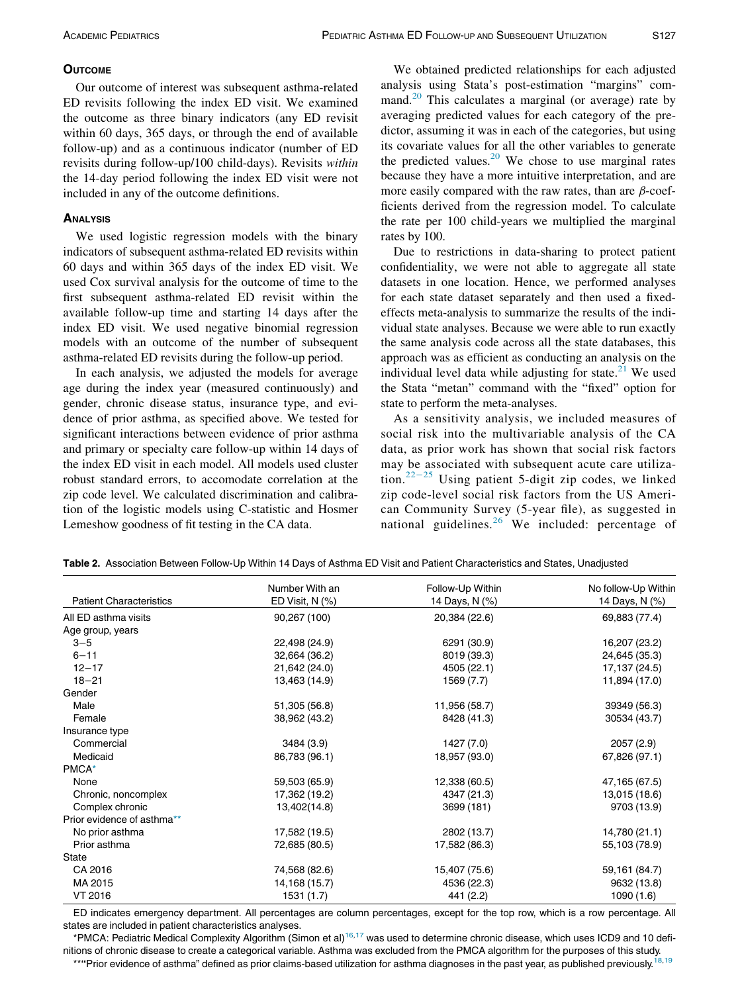Our outcome of interest was subsequent asthma-related ED revisits following the index ED visit. We examined the outcome as three binary indicators (any ED revisit within 60 days, 365 days, or through the end of available follow-up) and as a continuous indicator (number of ED revisits during follow-up/100 child-days). Revisits within the 14-day period following the index ED visit were not included in any of the outcome definitions.

We used logistic regression models with the binary indicators of subsequent asthma-related ED revisits within 60 days and within 365 days of the index ED visit. We used Cox survival analysis for the outcome of time to the first subsequent asthma-related ED revisit within the available follow-up time and starting 14 days after the index ED visit. We used negative binomial regression models with an outcome of the number of subsequent asthma-related ED revisits during the follow-up period.

In each analysis, we adjusted the models for average age during the index year (measured continuously) and gender, chronic disease status, insurance type, and evidence of prior asthma, as specified above. We tested for significant interactions between evidence of prior asthma and primary or specialty care follow-up within 14 days of the index ED visit in each model. All models used cluster robust standard errors, to accomodate correlation at the zip code level. We calculated discrimination and calibration of the logistic models using C-statistic and Hosmer Lemeshow goodness of fit testing in the CA data.

We obtained predicted relationships for each adjusted analysis using Stata's post-estimation "margins" command. $^{20}$  $^{20}$  $^{20}$  This calculates a marginal (or average) rate by averaging predicted values for each category of the predictor, assuming it was in each of the categories, but using its covariate values for all the other variables to generate the predicted values. $20$  We chose to use marginal rates because they have a more intuitive interpretation, and are more easily compared with the raw rates, than are  $\beta$ -coefficients derived from the regression model. To calculate the rate per 100 child-years we multiplied the marginal rates by 100.

Due to restrictions in data-sharing to protect patient confidentiality, we were not able to aggregate all state datasets in one location. Hence, we performed analyses for each state dataset separately and then used a fixedeffects meta-analysis to summarize the results of the individual state analyses. Because we were able to run exactly the same analysis code across all the state databases, this approach was as efficient as conducting an analysis on the individual level data while adjusting for state. $^{21}$  $^{21}$  $^{21}$  We used the Stata "metan" command with the "fixed" option for state to perform the meta-analyses.

As a sensitivity analysis, we included measures of social risk into the multivariable analysis of the CA data, as prior work has shown that social risk factors may be associated with subsequent acute care utilization.22−[25](#page-7-9) Using patient 5-digit zip codes, we linked zip code-level social risk factors from the US American Community Survey (5-year file), as suggested in national guidelines. $26$  We included: percentage of

|                                | Number With an  | Follow-Up Within | No follow-Up Within |  |
|--------------------------------|-----------------|------------------|---------------------|--|
| <b>Patient Characteristics</b> | ED Visit, N (%) | 14 Days, N (%)   | 14 Days, N (%)      |  |
| All ED asthma visits           | 90,267 (100)    | 20,384 (22.6)    | 69,883 (77.4)       |  |
| Age group, years               |                 |                  |                     |  |
| $3 - 5$                        | 22,498 (24.9)   | 6291 (30.9)      | 16,207 (23.2)       |  |
| $6 - 11$                       | 32,664 (36.2)   | 8019 (39.3)      | 24,645 (35.3)       |  |
| $12 - 17$                      | 21,642 (24.0)   | 4505 (22.1)      | 17,137 (24.5)       |  |
| $18 - 21$                      | 13,463 (14.9)   | 1569 (7.7)       | 11,894 (17.0)       |  |
| Gender                         |                 |                  |                     |  |
| Male                           | 51,305 (56.8)   | 11,956 (58.7)    | 39349 (56.3)        |  |
| Female                         | 38,962 (43.2)   | 8428 (41.3)      | 30534 (43.7)        |  |
| Insurance type                 |                 |                  |                     |  |
| Commercial                     | 3484 (3.9)      | 1427 (7.0)       | 2057 (2.9)          |  |
| Medicaid                       | 86,783 (96.1)   | 18,957 (93.0)    | 67,826 (97.1)       |  |
| PMCA*                          |                 |                  |                     |  |
| None                           | 59,503 (65.9)   | 12,338 (60.5)    | 47,165 (67.5)       |  |
| Chronic, noncomplex            | 17,362 (19.2)   | 4347 (21.3)      | 13,015 (18.6)       |  |
| Complex chronic                | 13,402(14.8)    | 3699 (181)       | 9703 (13.9)         |  |
| Prior evidence of asthma**     |                 |                  |                     |  |
| No prior asthma                | 17,582 (19.5)   | 2802 (13.7)      | 14,780 (21.1)       |  |
| Prior asthma                   | 72,685 (80.5)   | 17,582 (86.3)    | 55,103 (78.9)       |  |
| State                          |                 |                  |                     |  |
| CA 2016                        | 74,568 (82.6)   | 15,407 (75.6)    | 59,161 (84.7)       |  |
| MA 2015                        | 14, 168 (15.7)  | 4536 (22.3)      | 9632 (13.8)         |  |
| VT 2016                        | 1531 (1.7)      | 441 (2.2)        | 1090(1.6)           |  |

<span id="page-2-2"></span>Table 2. Association Between Follow-Up Within 14 Days of Asthma ED Visit and Patient Characteristics and States, Unadjusted

ED indicates emergency department. All percentages are column percentages, except for the top row, which is a row percentage. All states are included in patient characteristics analyses.

<span id="page-2-1"></span><span id="page-2-0"></span>\*PMCA: Pediatric Medical Complexity Algorithm (Simon et al)<sup>[16,](#page-7-3)[17](#page-7-4)</sup> was used to determine chronic disease, which uses ICD9 and 10 definitions of chronic disease to create a categorical variable. Asthma was excluded from the PMCA algorithm for the purposes of this study.<br>Asthma was excluded from the PMCA algorithm for the purposes of this study. \*\*"Prior evidence of asthma" defined as prior claims-based utilization for asthma diagnoses in the past year, as published previously.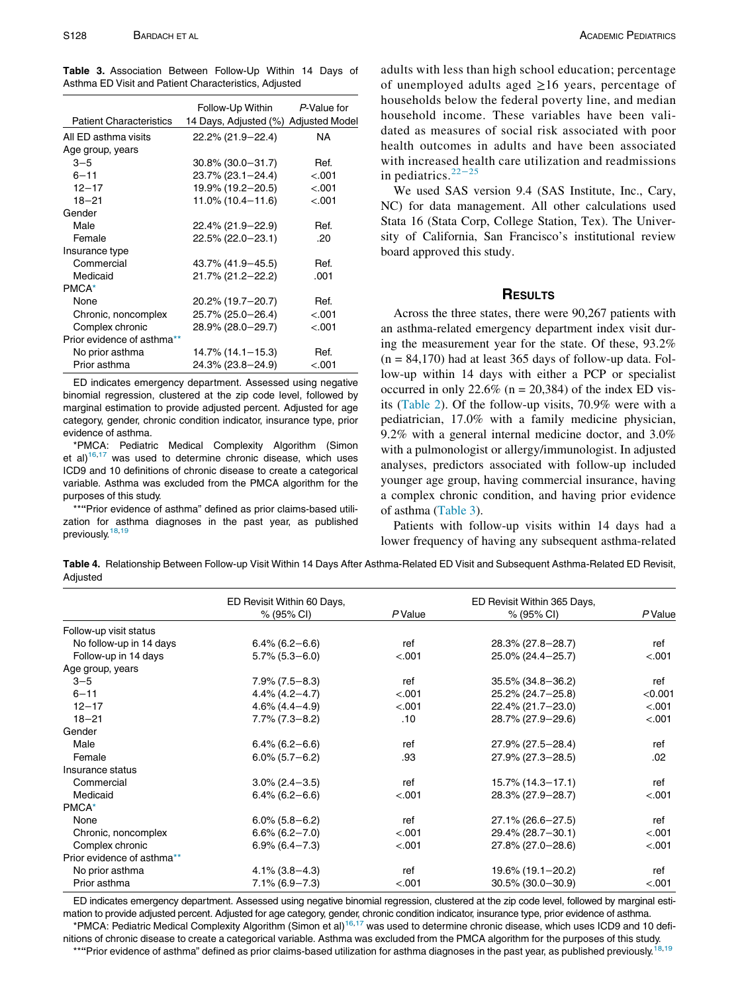<span id="page-3-0"></span>Table 3. Association Between Follow-Up Within 14 Days of Asthma ED Visit and Patient Characteristics, Adjusted

|                                | Follow-Up Within      | P-Value for           |
|--------------------------------|-----------------------|-----------------------|
| <b>Patient Characteristics</b> | 14 Days, Adjusted (%) | <b>Adjusted Model</b> |
| All ED asthma visits           | 22.2% (21.9-22.4)     | <b>NA</b>             |
| Age group, years               |                       |                       |
| $3 - 5$                        | $30.8\%$ (30.0-31.7)  | Ref.                  |
| $6 - 11$                       | 23.7% (23.1-24.4)     | $-.001$               |
| $12 - 17$                      | 19.9% (19.2-20.5)     | $-.001$               |
| $18 - 21$                      | $11.0\%$ (10.4-11.6)  | $-.001$               |
| Gender                         |                       |                       |
| Male                           | 22.4% (21.9-22.9)     | Ref.                  |
| Female                         | 22.5% (22.0-23.1)     | -20                   |
| Insurance type                 |                       |                       |
| Commercial                     | 43.7% (41.9–45.5)     | Ref.                  |
| Medicaid                       | 21.7% (21.2-22.2)     | .001                  |
| PMCA*                          |                       |                       |
| None                           | 20.2% (19.7-20.7)     | Ref.                  |
| Chronic, noncomplex            | 25.7% (25.0-26.4)     | $-.001$               |
| Complex chronic                | 28.9% (28.0-29.7)     | $-.001$               |
| Prior evidence of asthma**     |                       |                       |
| No prior asthma                | $14.7\%$ (14.1-15.3)  | Ref.                  |
| Prior asthma                   | 24.3% (23.8-24.9)     | < .001                |

ED indicates emergency department. Assessed using negative binomial regression, clustered at the zip code level, followed by marginal estimation to provide adjusted percent. Adjusted for age category, gender, chronic condition indicator, insurance type, prior evidence of asthma.

<span id="page-3-1"></span>\*PMCA: Pediatric Medical Complexity Algorithm (Simon et al) $16,17$  $16,17$  was used to determine chronic disease, which uses ICD9 and 10 definitions of chronic disease to create a categorical variable. Asthma was excluded from the PMCA algorithm for the purposes of this study.

<span id="page-3-2"></span>\*\*"Prior evidence of asthma" defined as prior claims-based utilization for asthma diagnoses in the past year, as published previously.<sup>[18](#page-7-5),[19](#page-7-6)</sup>

adults with less than high school education; percentage of unemployed adults aged  $\geq 16$  years, percentage of households below the federal poverty line, and median household income. These variables have been validated as measures of social risk associated with poor health outcomes in adults and have been associated with increased health care utilization and readmissions in pediatrics.<sup>22−[25](#page-7-9)</sup>

We used SAS version 9.4 (SAS Institute, Inc., Cary, NC) for data management. All other calculations used Stata 16 (Stata Corp, College Station, Tex). The University of California, San Francisco's institutional review board approved this study.

### **RESULTS**

Across the three states, there were 90,267 patients with an asthma-related emergency department index visit during the measurement year for the state. Of these, 93.2%  $(n = 84,170)$  had at least 365 days of follow-up data. Follow-up within 14 days with either a PCP or specialist occurred in only 22.6% ( $n = 20,384$ ) of the index ED visits [\(Table 2\)](#page-2-2). Of the follow-up visits, 70.9% were with a pediatrician, 17.0% with a family medicine physician, 9.2% with a general internal medicine doctor, and 3.0% with a pulmonologist or allergy/immunologist. In adjusted analyses, predictors associated with follow-up included younger age group, having commercial insurance, having a complex chronic condition, and having prior evidence of asthma [\(Table 3](#page-3-0)).

Patients with follow-up visits within 14 days had a lower frequency of having any subsequent asthma-related

<span id="page-3-5"></span>Table 4. Relationship Between Follow-up Visit Within 14 Days After Asthma-Related ED Visit and Subsequent Asthma-Related ED Revisit, **Adjusted** 

|                            | ED Revisit Within 60 Days, |         | ED Revisit Within 365 Days, |         |
|----------------------------|----------------------------|---------|-----------------------------|---------|
|                            | % (95% CI)                 | P Value | % (95% CI)                  | P Value |
| Follow-up visit status     |                            |         |                             |         |
| No follow-up in 14 days    | $6.4\%$ (6.2-6.6)          | ref     | 28.3% (27.8-28.7)           | ref     |
| Follow-up in 14 days       | $5.7\%$ (5.3-6.0)          | < .001  | 25.0% (24.4-25.7)           | < .001  |
| Age group, years           |                            |         |                             |         |
| $3 - 5$                    | $7.9\%$ (7.5-8.3)          | ref     | $35.5\%$ (34.8-36.2)        | ref     |
| $6 - 11$                   | $4.4\%$ (4.2-4.7)          | < .001  | $25.2\%$ (24.7-25.8)        | < 0.001 |
| $12 - 17$                  | $4.6\%$ $(4.4-4.9)$        | < .001  | 22.4% (21.7-23.0)           | < .001  |
| $18 - 21$                  | $7.7\%$ (7.3-8.2)          | .10     | 28.7% (27.9-29.6)           | < .001  |
| Gender                     |                            |         |                             |         |
| Male                       | $6.4\%$ (6.2-6.6)          | ref     | $27.9\%$ (27.5 - 28.4)      | ref     |
| Female                     | $6.0\%$ (5.7-6.2)          | .93     | $27.9\%$ (27.3-28.5)        | .02     |
| Insurance status           |                            |         |                             |         |
| Commercial                 | $3.0\%$ (2.4 - 3.5)        | ref     | $15.7\%$ (14.3-17.1)        | ref     |
| Medicaid                   | $6.4\%$ (6.2-6.6)          | < .001  | 28.3% (27.9-28.7)           | < .001  |
| PMCA <sup>*</sup>          |                            |         |                             |         |
| None                       | $6.0\%$ (5.8-6.2)          | ref     | $27.1\%$ (26.6-27.5)        | ref     |
| Chronic, noncomplex        | $6.6\%$ (6.2-7.0)          | < .001  | 29.4% (28.7-30.1)           | < .001  |
| Complex chronic            | $6.9\%$ (6.4 - 7.3)        | < .001  | 27.8% (27.0-28.6)           | < .001  |
| Prior evidence of asthma** |                            |         |                             |         |
| No prior asthma            | $4.1\%$ (3.8 – 4.3)        | ref     | $19.6\%$ (19.1-20.2)        | ref     |
| Prior asthma               | $7.1\%$ (6.9-7.3)          | < .001  | $30.5\%$ (30.0-30.9)        | < .001  |

<span id="page-3-4"></span><span id="page-3-3"></span>ED indicates emergency department. Assessed using negative binomial regression, clustered at the zip code level, followed by marginal estimation to provide adjusted percent. Adjusted for age category, gender, chronic condition indicator, insurance type, prior evidence of asthma. \*PMCA: Pediatric Medical Complexity Algorithm (Simon et al)[16,](#page-7-3)[17](#page-7-4) was used to determine chronic disease, which uses ICD9 and 10 definitions of chronic disease to create a categorical variable. Asthma was excluded from the PMCA algorithm for the purposes of this study. \*\*"Prior evidence of asthma" defined as prior claims-based utilization for asthma diagnoses in the past year, as published previously.<sup>[18,](#page-7-5)[19](#page-7-6)</sup>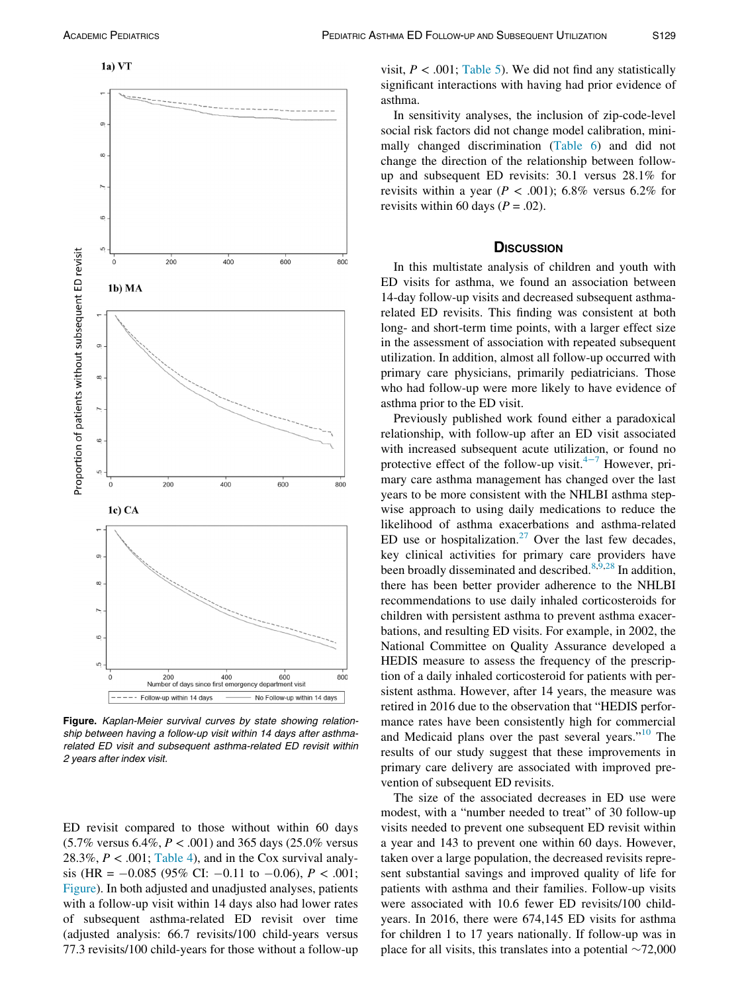

<span id="page-4-0"></span>

Figure. Kaplan-Meier survival curves by state showing relationship between having a follow-up visit within 14 days after asthmarelated ED visit and subsequent asthma-related ED revisit within 2 years after index visit.

ED revisit compared to those without within 60 days  $(5.7\% \text{ versus } 6.4\%, P < .001)$  and 365 days  $(25.0\% \text{ versus } 6.4\% \text{ and } P < .001)$ 28.3%,  $P < .001$ ; [Table 4](#page-3-5)), and in the Cox survival analysis (HR =  $-0.085$  (95% CI:  $-0.11$  to  $-0.06$ ),  $P < .001$ ; [Figure\)](#page-4-0). In both adjusted and unadjusted analyses, patients with a follow-up visit within 14 days also had lower rates of subsequent asthma-related ED revisit over time (adjusted analysis: 66.7 revisits/100 child-years versus 77.3 revisits/100 child-years for those without a follow-up visit,  $P < .001$ ; [Table 5](#page-5-0)). We did not find any statistically significant interactions with having had prior evidence of asthma.

In sensitivity analyses, the inclusion of zip-code-level social risk factors did not change model calibration, minimally changed discrimination ([Table 6\)](#page-5-1) and did not change the direction of the relationship between followup and subsequent ED revisits: 30.1 versus 28.1% for revisits within a year ( $P < .001$ ); 6.8% versus 6.2% for revisits within 60 days ( $P = .02$ ).

In this multistate analysis of children and youth with ED visits for asthma, we found an association between 14-day follow-up visits and decreased subsequent asthmarelated ED revisits. This finding was consistent at both long- and short-term time points, with a larger effect size in the assessment of association with repeated subsequent utilization. In addition, almost all follow-up occurred with primary care physicians, primarily pediatricians. Those who had follow-up were more likely to have evidence of asthma prior to the ED visit.

Previously published work found either a paradoxical relationship, with follow-up after an ED visit associated with increased subsequent acute utilization, or found no protective effect of the follow-up visit. $4-7$  However, primary care asthma management has changed over the last years to be more consistent with the NHLBI asthma stepwise approach to using daily medications to reduce the likelihood of asthma exacerbations and asthma-related ED use or hospitalization.<sup>[27](#page-7-11)</sup> Over the last few decades, key clinical activities for primary care providers have been broadly disseminated and described.<sup>[8,](#page-6-5)[9,](#page-6-6)[28](#page-7-12)</sup> In addition, there has been better provider adherence to the NHLBI recommendations to use daily inhaled corticosteroids for children with persistent asthma to prevent asthma exacerbations, and resulting ED visits. For example, in 2002, the National Committee on Quality Assurance developed a HEDIS measure to assess the frequency of the prescription of a daily inhaled corticosteroid for patients with persistent asthma. However, after 14 years, the measure was retired in 2016 due to the observation that "HEDIS performance rates have been consistently high for commercial and Medicaid plans over the past several years."<sup>[10](#page-6-7)</sup> The results of our study suggest that these improvements in primary care delivery are associated with improved prevention of subsequent ED revisits.

The size of the associated decreases in ED use were modest, with a "number needed to treat" of 30 follow-up visits needed to prevent one subsequent ED revisit within a year and 143 to prevent one within 60 days. However, taken over a large population, the decreased revisits represent substantial savings and improved quality of life for patients with asthma and their families. Follow-up visits were associated with 10.6 fewer ED revisits/100 childyears. In 2016, there were 674,145 ED visits for asthma for children 1 to 17 years nationally. If follow-up was in place for all visits, this translates into a potential  $\sim$ 72,000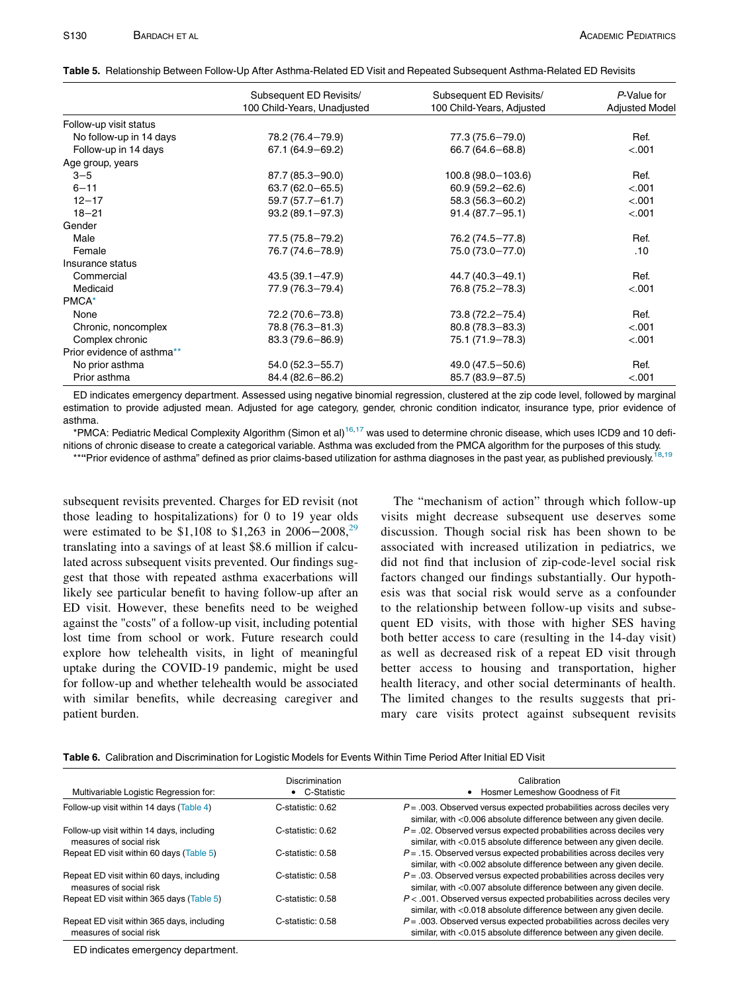<span id="page-5-0"></span>

| Table 5. Relationship Between Follow-Up After Asthma-Related ED Visit and Repeated Subsequent Asthma-Related ED Revisits |  |  |
|--------------------------------------------------------------------------------------------------------------------------|--|--|
|                                                                                                                          |  |  |

|                            | Subsequent ED Revisits/     | Subsequent ED Revisits/   | P-Value for           |
|----------------------------|-----------------------------|---------------------------|-----------------------|
|                            | 100 Child-Years, Unadjusted | 100 Child-Years, Adjusted | <b>Adjusted Model</b> |
| Follow-up visit status     |                             |                           |                       |
| No follow-up in 14 days    | 78.2 (76.4-79.9)            | 77.3 (75.6-79.0)          | Ref.                  |
| Follow-up in 14 days       | $67.1(64.9 - 69.2)$         | $66.7(64.6 - 68.8)$       | < .001                |
| Age group, years           |                             |                           |                       |
| $3 - 5$                    | 87.7 (85.3-90.0)            | 100.8 (98.0 - 103.6)      | Ref.                  |
| $6 - 11$                   | $63.7(62.0 - 65.5)$         | $60.9(59.2 - 62.6)$       | < .001                |
| $12 - 17$                  | 59.7 (57.7-61.7)            | $58.3(56.3 - 60.2)$       | < .001                |
| $18 - 21$                  | $93.2(89.1 - 97.3)$         | $91.4(87.7 - 95.1)$       | < .001                |
| Gender                     |                             |                           |                       |
| Male                       | 77.5 (75.8-79.2)            | 76.2 (74.5-77.8)          | Ref.                  |
| Female                     | 76.7 (74.6-78.9)            | 75.0 (73.0-77.0)          | .10                   |
| Insurance status           |                             |                           |                       |
| Commercial                 | $43.5(39.1 - 47.9)$         | 44.7 (40.3-49.1)          | Ref.                  |
| Medicaid                   | 77.9 (76.3-79.4)            | 76.8 (75.2-78.3)          | < .001                |
| PMCA <sup>*</sup>          |                             |                           |                       |
| None                       | 72.2 (70.6-73.8)            | 73.8 (72.2-75.4)          | Ref.                  |
| Chronic, noncomplex        | 78.8 (76.3-81.3)            | $80.8(78.3 - 83.3)$       | < .001                |
| Complex chronic            | 83.3 (79.6-86.9)            | 75.1 (71.9-78.3)          | < .001                |
| Prior evidence of asthma** |                             |                           |                       |
| No prior asthma            | $54.0(52.3 - 55.7)$         | 49.0 (47.5 - 50.6)        | Ref.                  |
| Prior asthma               | 84.4 (82.6-86.2)            | 85.7 (83.9-87.5)          | < .001                |

ED indicates emergency department. Assessed using negative binomial regression, clustered at the zip code level, followed by marginal estimation to provide adjusted mean. Adjusted for age category, gender, chronic condition indicator, insurance type, prior evidence of asthma.

<span id="page-5-3"></span><span id="page-5-2"></span>\*PMCA: Pediatric Medical Complexity Algorithm (Simon et al)<sup>[16,](#page-7-3)[17](#page-7-4)</sup> was used to determine chronic disease, which uses ICD9 and 10 definitions of chronic disease to create a categorical variable. Asthma was excluded from the PMCA algorithm for the purposes of this study.

\*\*"Prior evidence of asthma" defined as prior claims-based utilization for asthma diagnoses in the past year, as published previously.<sup>[18,](#page-7-5)[19](#page-7-6)</sup>

subsequent revisits prevented. Charges for ED revisit (not those leading to hospitalizations) for 0 to 19 year olds were estimated to be \$1,108 to \$1,263 in 2006−2008,<sup>[29](#page-7-13)</sup> translating into a savings of at least \$8.6 million if calculated across subsequent visits prevented. Our findings suggest that those with repeated asthma exacerbations will likely see particular benefit to having follow-up after an ED visit. However, these benefits need to be weighed against the "costs" of a follow-up visit, including potential lost time from school or work. Future research could explore how telehealth visits, in light of meaningful uptake during the COVID-19 pandemic, might be used for follow-up and whether telehealth would be associated with similar benefits, while decreasing caregiver and patient burden.

The "mechanism of action" through which follow-up visits might decrease subsequent use deserves some discussion. Though social risk has been shown to be associated with increased utilization in pediatrics, we did not find that inclusion of zip-code-level social risk factors changed our findings substantially. Our hypothesis was that social risk would serve as a confounder to the relationship between follow-up visits and subsequent ED visits, with those with higher SES having both better access to care (resulting in the 14-day visit) as well as decreased risk of a repeat ED visit through better access to housing and transportation, higher health literacy, and other social determinants of health. The limited changes to the results suggests that primary care visits protect against subsequent revisits

<span id="page-5-1"></span>

| Table 6. Calibration and Discrimination for Logistic Models for Events Within Time Period After Initial ED Visit |  |  |
|------------------------------------------------------------------------------------------------------------------|--|--|
|                                                                                                                  |  |  |

| Multivariable Logistic Regression for:                                | Discrimination<br>• C-Statistic | Calibration<br>Hosmer Lemeshow Goodness of Fit                                                                                                 |
|-----------------------------------------------------------------------|---------------------------------|------------------------------------------------------------------------------------------------------------------------------------------------|
| Follow-up visit within 14 days (Table 4)                              | C-statistic: 0.62               | $P = 0.003$ . Observed versus expected probabilities across deciles very<br>similar, with <0.006 absolute difference between any given decile. |
| Follow-up visit within 14 days, including<br>measures of social risk  | C-statistic: 0.62               | $P = 0.02$ . Observed versus expected probabilities across deciles very<br>similar, with <0.015 absolute difference between any given decile.  |
| Repeat ED visit within 60 days (Table 5)                              | C-statistic: 0.58               | $P = 0.15$ . Observed versus expected probabilities across deciles very<br>similar, with <0.002 absolute difference between any given decile.  |
| Repeat ED visit within 60 days, including<br>measures of social risk  | C-statistic: 0.58               | $P = 0.03$ . Observed versus expected probabilities across deciles very<br>similar, with <0.007 absolute difference between any given decile.  |
| Repeat ED visit within 365 days (Table 5)                             | C-statistic: 0.58               | $P < .001$ . Observed versus expected probabilities across deciles very<br>similar, with <0.018 absolute difference between any given decile.  |
| Repeat ED visit within 365 days, including<br>measures of social risk | C-statistic: 0.58               | $P = 0.003$ . Observed versus expected probabilities across deciles very<br>similar, with <0.015 absolute difference between any given decile. |

ED indicates emergency department.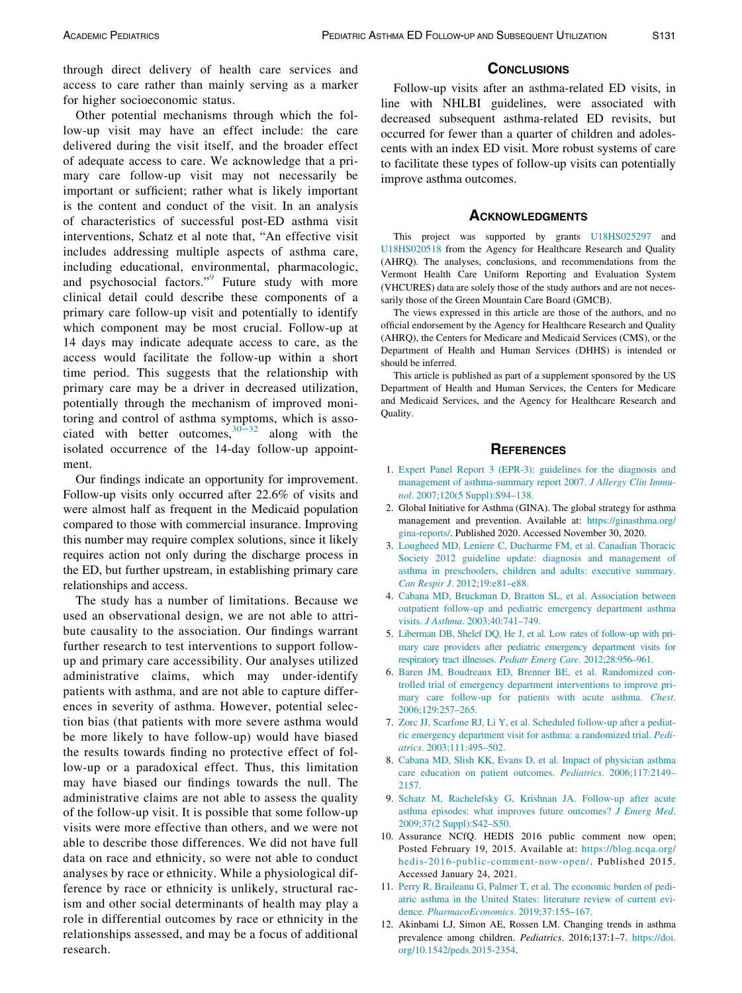through direct delivery of health care services and access to care rather than mainly serving as a marker for higher socioeconomic status.

<span id="page-6-10"></span>Other potential mechanisms through which the follow-up visit may have an effect include: the care delivered during the visit itself, and the broader effect of adequate access to care. We acknowledge that a primary care follow-up visit may not necessarily be important or sufficient; rather what is likely important is the content and conduct of the visit. In an analysis of characteristics of successful post-ED asthma visit interventions, Schatz et al note that, "An effective visit includes addressing multiple aspects of asthma care, including educational, environmental, pharmacologic, and psychosocial factors."[9](#page-6-6) Future study with more clinical detail could describe these components of a primary care follow-up visit and potentially to identify which component may be most crucial. Follow-up at 14 days may indicate adequate access to care, as the access would facilitate the follow-up within a short time period. This suggests that the relationship with primary care may be a driver in decreased utilization, potentially through the mechanism of improved monitoring and control of asthma s[ympto](#page-7-14)ms, which is associated with better outcomes,  $30-32$  along with the isolated occurrence of the 14-day follow-up appointment.

<span id="page-6-0"></span>Our findings indicate an opportunity for improvement. Follow-up visits only occurred after 22.6% of visits and were almost half as frequent in the Medicaid population compared to those with commercial insurance. Improving this number may require complex solutions, since it likely requires action not only during the discharge process in the ED, but further upstream, in establishing primary care relationships and access.

<span id="page-6-9"></span><span id="page-6-8"></span><span id="page-6-7"></span><span id="page-6-6"></span><span id="page-6-5"></span><span id="page-6-4"></span><span id="page-6-3"></span><span id="page-6-2"></span><span id="page-6-1"></span>The study has a number of limitations. Because we used an observational design, we are not able to attribute causality to the association. Our findings warrant further research to test interventions to support followup and primary care accessibility. Our analyses utilized administrative claims, which may under-identify patients with asthma, and are not able to capture differences in severity of asthma. However, potential selection bias (that patients with more severe asthma would be more likely to have follow-up) would have biased the results towards finding no protective effect of follow-up or a paradoxical effect. Thus, this limitation may have biased our findings towards the null. The administrative claims are not able to assess the quality of the follow-up visit. It is possible that some follow-up visits were more effective than others, and we were not able to describe those differences. We did not have full data on race and ethnicity, so were not able to conduct analyses by race or ethnicity. While a physiological difference by race or ethnicity is unlikely, structural racism and other social determinants of health may play a role in differential outcomes by race or ethnicity in the relationships assessed, and may be a focus of additional research.

Follow-up visits after an asthma-related ED visits, in line with NHLBI guidelines, were associated with decreased subsequent asthma-related ED revisits, but occurred for fewer than a quarter of children and adolescents with an index ED visit. More robust systems of care to facilitate these types of follow-up visits can potentially improve asthma outcomes.

This project was supported by grants [U18HS025297](#page-6-10) and [U18HS020518](#page-6-10) from the Agency for Healthcare Research and Quality (AHRQ). The analyses, conclusions, and recommendations from the Vermont Health Care Uniform Reporting and Evaluation System (VHCURES) data are solely those of the study authors and are not necessarily those of the Green Mountain Care Board (GMCB).

The views expressed in this article are those of the authors, and no official endorsement by the Agency for Healthcare Research and Quality (AHRQ), the Centers for Medicare and Medicaid Services (CMS), or the Department of Health and Human Services (DHHS) is intended or should be inferred.

This article is published as part of a supplement sponsored by the US Department of Health and Human Services, the Centers for Medicare and Medicaid Services, and the Agency for Healthcare Research and Quality.

- 1. [Expert Panel Report 3 \(EPR-3\): guidelines for the diagnosis and](http://refhub.elsevier.com/S1876-2859(21)00537-4/sbref0001) [management of asthma-summary report 2007.](http://refhub.elsevier.com/S1876-2859(21)00537-4/sbref0001) J Allergy Clin Immunol[. 2007;120\(5 Suppl\):S94–138.](http://refhub.elsevier.com/S1876-2859(21)00537-4/sbref0001)
- 2. Global Initiative for Asthma (GINA). The global strategy for asthma management and prevention. Available at: [https://ginasthma.org/](https://ginasthma.org/gina-reports/) [gina-reports/](https://ginasthma.org/gina-reports/). Published 2020. Accessed November 30, 2020.
- 3. [Lougheed MD, Leniere C, Ducharme FM, et al. Canadian Thoracic](http://refhub.elsevier.com/S1876-2859(21)00537-4/sbref0003) [Society 2012 guideline update: diagnosis and management of](http://refhub.elsevier.com/S1876-2859(21)00537-4/sbref0003) [asthma in preschoolers, children and adults: executive summary.](http://refhub.elsevier.com/S1876-2859(21)00537-4/sbref0003) Can Respir J[. 2012;19:e81–e88.](http://refhub.elsevier.com/S1876-2859(21)00537-4/sbref0003)
- 4. [Cabana MD, Bruckman D, Bratton SL, et al. Association between](http://refhub.elsevier.com/S1876-2859(21)00537-4/sbref0004) [outpatient follow-up and pediatric emergency department asthma](http://refhub.elsevier.com/S1876-2859(21)00537-4/sbref0004) visits. J Asthma[. 2003;40:741–749.](http://refhub.elsevier.com/S1876-2859(21)00537-4/sbref0004)
- 5. [Liberman DB, Shelef DQ, He J, et al. Low rates of follow-up with pri](http://refhub.elsevier.com/S1876-2859(21)00537-4/sbref0005)[mary care providers after pediatric emergency department visits for](http://refhub.elsevier.com/S1876-2859(21)00537-4/sbref0005) [respiratory tract illnesses.](http://refhub.elsevier.com/S1876-2859(21)00537-4/sbref0005) Pediatr Emerg Care. 2012;28:956–961.
- 6. [Baren JM, Boudreaux ED, Brenner BE, et al. Randomized con](http://refhub.elsevier.com/S1876-2859(21)00537-4/sbref0006)[trolled trial of emergency department interventions to improve pri](http://refhub.elsevier.com/S1876-2859(21)00537-4/sbref0006)[mary care follow-up for patients with acute asthma.](http://refhub.elsevier.com/S1876-2859(21)00537-4/sbref0006) Chest. [2006;129:257–265.](http://refhub.elsevier.com/S1876-2859(21)00537-4/sbref0006)
- 7. [Zorc JJ, Scarfone RJ, Li Y, et al. Scheduled follow-up after a pediat](http://refhub.elsevier.com/S1876-2859(21)00537-4/sbref0007)[ric emergency department visit for asthma: a randomized trial.](http://refhub.elsevier.com/S1876-2859(21)00537-4/sbref0007) Pediatrics[. 2003;111:495–502.](http://refhub.elsevier.com/S1876-2859(21)00537-4/sbref0007)
- 8. [Cabana MD, Slish KK, Evans D, et al. Impact of physician asthma](http://refhub.elsevier.com/S1876-2859(21)00537-4/sbref0008) [care education on patient outcomes.](http://refhub.elsevier.com/S1876-2859(21)00537-4/sbref0008) Pediatrics. 2006;117:2149– [2157.](http://refhub.elsevier.com/S1876-2859(21)00537-4/sbref0008)
- 9. [Schatz M, Rachelefsky G, Krishnan JA. Follow-up after acute](http://refhub.elsevier.com/S1876-2859(21)00537-4/sbref0009) [asthma episodes: what improves future outcomes?](http://refhub.elsevier.com/S1876-2859(21)00537-4/sbref0009) J Emerg Med. [2009;37\(2 Suppl\):S42–S50.](http://refhub.elsevier.com/S1876-2859(21)00537-4/sbref0009)
- 10. Assurance NCfQ. HEDIS 2016 public comment now open; Posted February 19, 2015. Available at: [https://blog.ncqa.org/](https://blog.ncqa.org/hedis-2016-public-comment-now-open/) [hedis-2016-public-comment-now-open/](https://blog.ncqa.org/hedis-2016-public-comment-now-open/). Published 2015. Accessed January 24, 2021.
- 11. [Perry R, Braileanu G, Palmer T, et al. The economic burden of pedi](http://refhub.elsevier.com/S1876-2859(21)00537-4/sbref0011)[atric asthma in the United States: literature review of current evi](http://refhub.elsevier.com/S1876-2859(21)00537-4/sbref0011)dence. [PharmacoEconomics](http://refhub.elsevier.com/S1876-2859(21)00537-4/sbref0011). 2019;37:155–167.
- 12. Akinbami LJ, Simon AE, Rossen LM. Changing trends in asthma prevalence among children. Pediatrics. 2016;137:1–7. [https://doi.](https://doi.org/10.1542/peds.2015-2354) [org/10.1542/peds.2015-2354](https://doi.org/10.1542/peds.2015-2354).